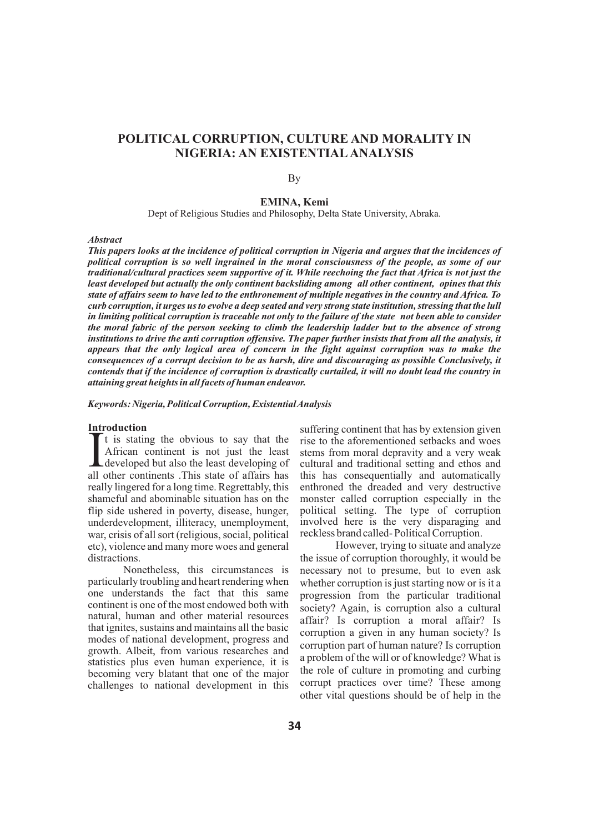# **POLITICAL CORRUPTION, CULTURE AND MORALITY IN NIGERIA: AN EXISTENTIAL ANALYSIS**

### By

# **EMINA, Kemi**

Dept of Religious Studies and Philosophy, Delta State University, Abraka.

#### *Abstract*

*This papers looks at the incidence of political corruption in Nigeria and argues that the incidences of political corruption is so well ingrained in the moral consciousness of the people, as some of our traditional/cultural practices seem supportive of it. While reechoing the fact that Africa is not just the least developed but actually the only continent backsliding among all other continent, opines that this state of affairs seem to have led to the enthronement of multiple negatives in the country and Africa. To curb corruption, it urges us to evolve a deep seated and very strong state institution, stressing that the lull in limiting political corruption is traceable not only to the failure of the state not been able to consider the moral fabric of the person seeking to climb the leadership ladder but to the absence of strong institutions to drive the anti corruption offensive. The paper further insists that from all the analysis, it appears that the only logical area of concern in the fight against corruption was to make the consequences of a corrupt decision to be as harsh, dire and discouraging as possible Conclusively, it contends that if the incidence of corruption is drastically curtailed, it will no doubt lead the country in attaining great heights in all facets of human endeavor.*

*Keywords: Nigeria, Political Corruption, Existential Analysis* 

#### **Introduction**

It is stating the obvious to say that the African continent is not just the least developed but also the least developing of all other continents. This state of affairs has all other continents .This state of affairs has really lingered for a long time. Regrettably, this shameful and abominable situation has on the flip side ushered in poverty, disease, hunger, underdevelopment, illiteracy, unemployment, war, crisis of all sort (religious, social, political etc), violence and many more woes and general distractions.

Nonetheless, this circumstances is particularly troubling and heart rendering when one understands the fact that this same continent is one of the most endowed both with natural, human and other material resources that ignites, sustains and maintains all the basic modes of national development, progress and growth. Albeit, from various researches and statistics plus even human experience, it is becoming very blatant that one of the major challenges to national development in this

suffering continent that has by extension given rise to the aforementioned setbacks and woes stems from moral depravity and a very weak cultural and traditional setting and ethos and this has consequentially and automatically enthroned the dreaded and very destructive monster called corruption especially in the political setting. The type of corruption involved here is the very disparaging and reckless brand called- Political Corruption.

However, trying to situate and analyze the issue of corruption thoroughly, it would be necessary not to presume, but to even ask whether corruption is just starting now or is it a progression from the particular traditional society? Again, is corruption also a cultural affair? Is corruption a moral affair? Is corruption a given in any human society? Is corruption part of human nature? Is corruption a problem of the will or of knowledge? What is the role of culture in promoting and curbing corrupt practices over time? These among other vital questions should be of help in the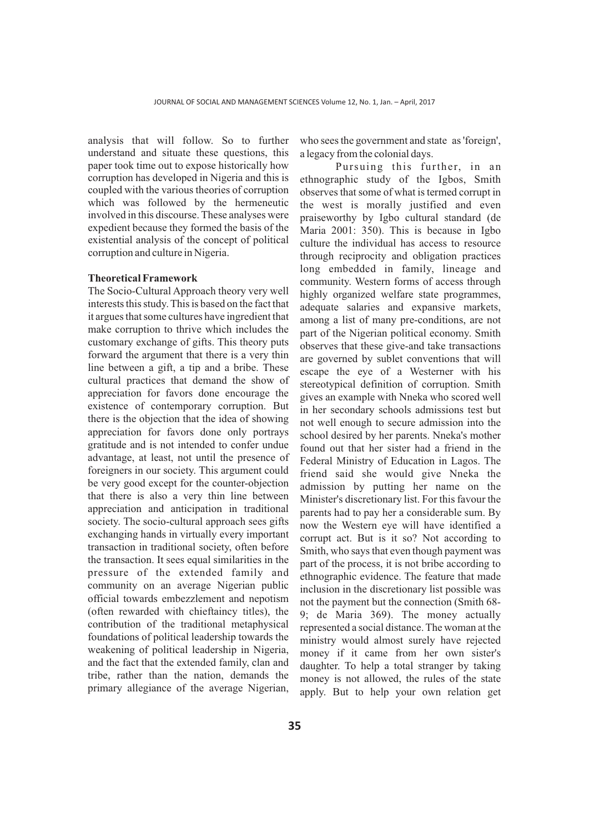analysis that will follow. So to further understand and situate these questions, this paper took time out to expose historically how corruption has developed in Nigeria and this is coupled with the various theories of corruption which was followed by the hermeneutic involved in this discourse. These analyses were expedient because they formed the basis of the existential analysis of the concept of political corruption and culture in Nigeria.

# **Theoretical Framework**

The Socio-Cultural Approach theory very well interests this study. This is based on the fact that it argues that some cultures have ingredient that make corruption to thrive which includes the customary exchange of gifts. This theory puts forward the argument that there is a very thin line between a gift, a tip and a bribe. These cultural practices that demand the show of appreciation for favors done encourage the existence of contemporary corruption. But there is the objection that the idea of showing appreciation for favors done only portrays gratitude and is not intended to confer undue advantage, at least, not until the presence of foreigners in our society. This argument could be very good except for the counter-objection that there is also a very thin line between appreciation and anticipation in traditional society. The socio-cultural approach sees gifts exchanging hands in virtually every important transaction in traditional society, often before the transaction. It sees equal similarities in the pressure of the extended family and community on an average Nigerian public official towards embezzlement and nepotism (often rewarded with chieftaincy titles), the contribution of the traditional metaphysical foundations of political leadership towards the weakening of political leadership in Nigeria, and the fact that the extended family, clan and tribe, rather than the nation, demands the primary allegiance of the average Nigerian,

who sees the government and state as 'foreign', a legacy from the colonial days.

Pursuing this further, in an ethnographic study of the Igbos, Smith observes that some of what is termed corrupt in the west is morally justified and even praiseworthy by Igbo cultural standard (de Maria 2001: 350). This is because in Igbo culture the individual has access to resource through reciprocity and obligation practices long embedded in family, lineage and community. Western forms of access through highly organized welfare state programmes, adequate salaries and expansive markets, among a list of many pre-conditions, are not part of the Nigerian political economy. Smith observes that these give-and take transactions are governed by sublet conventions that will escape the eye of a Westerner with his stereotypical definition of corruption. Smith gives an example with Nneka who scored well in her secondary schools admissions test but not well enough to secure admission into the school desired by her parents. Nneka's mother found out that her sister had a friend in the Federal Ministry of Education in Lagos. The friend said she would give Nneka the admission by putting her name on the Minister's discretionary list. For this favour the parents had to pay her a considerable sum. By now the Western eye will have identified a corrupt act. But is it so? Not according to Smith, who says that even though payment was part of the process, it is not bribe according to ethnographic evidence. The feature that made inclusion in the discretionary list possible was not the payment but the connection (Smith 68- 9; de Maria 369). The money actually represented a social distance. The woman at the ministry would almost surely have rejected money if it came from her own sister's daughter. To help a total stranger by taking money is not allowed, the rules of the state apply. But to help your own relation get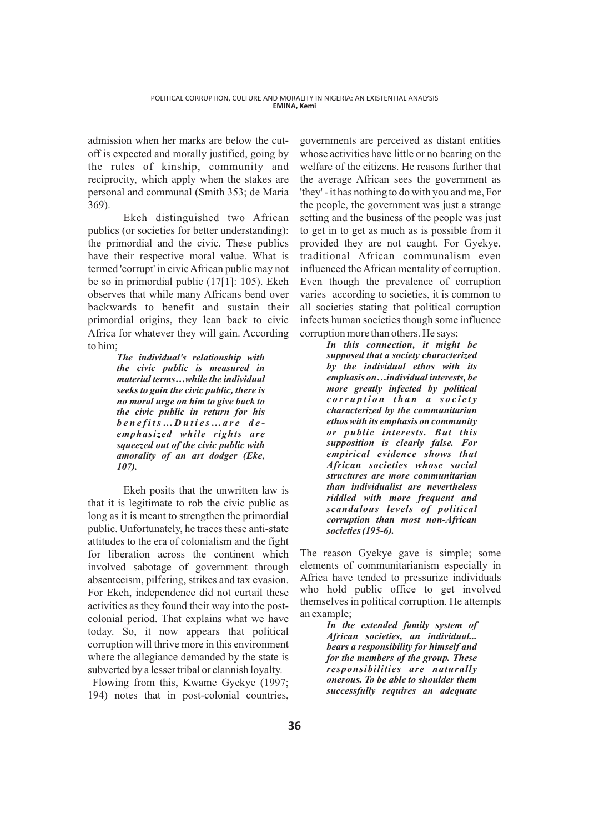admission when her marks are below the cutoff is expected and morally justified, going by the rules of kinship, community and reciprocity, which apply when the stakes are personal and communal (Smith 353; de Maria 369).

Ekeh distinguished two African publics (or societies for better understanding): the primordial and the civic. These publics have their respective moral value. What is termed 'corrupt' in civic African public may not be so in primordial public (17[1]: 105). Ekeh observes that while many Africans bend over backwards to benefit and sustain their primordial origins, they lean back to civic Africa for whatever they will gain. According to him;

> *The individual's relationship with the civic public is measured in material terms…while the individual seeks to gain the civic public, there is no moral urge on him to give back to the civic public in return for his b ene f its … D uti e s … a r e d e emphasized while rights are squeezed out of the civic public with amorality of an art dodger (Eke, 107).*

Ekeh posits that the unwritten law is that it is legitimate to rob the civic public as long as it is meant to strengthen the primordial public. Unfortunately, he traces these anti-state attitudes to the era of colonialism and the fight for liberation across the continent which involved sabotage of government through absenteeism, pilfering, strikes and tax evasion. For Ekeh, independence did not curtail these activities as they found their way into the postcolonial period. That explains what we have today. So, it now appears that political corruption will thrive more in this environment where the allegiance demanded by the state is subverted by a lesser tribal or clannish loyalty.

Flowing from this, Kwame Gyekye (1997; 194) notes that in post-colonial countries,

governments are perceived as distant entities whose activities have little or no bearing on the welfare of the citizens. He reasons further that the average African sees the government as 'they' - it has nothing to do with you and me, For the people, the government was just a strange setting and the business of the people was just to get in to get as much as is possible from it provided they are not caught. For Gyekye, traditional African communalism even influenced the African mentality of corruption. Even though the prevalence of corruption varies according to societies, it is common to all societies stating that political corruption infects human societies though some influence corruption more than others. He says;

> *In this connection, it might be supposed that a society characterized by the individual ethos with its emphasis on…individual interests, be more greatly infected by political c o rrup ti on than a s o c i e t y characterized by the communitarian ethos with its emphasis on community or public interests. But this supposition is clearly false. For empirical evidence shows that African societies whose social structures are more communitarian than individualist are nevertheless riddled with more frequent and scandalous levels of political corruption than most non-African societies (195-6).*

The reason Gyekye gave is simple; some elements of communitarianism especially in Africa have tended to pressurize individuals who hold public office to get involved themselves in political corruption. He attempts an example;

> *In the extended family system of African societies, an individual... bears a responsibility for himself and for the members of the group. These responsibilities are naturally onerous. To be able to shoulder them successfully requires an adequate*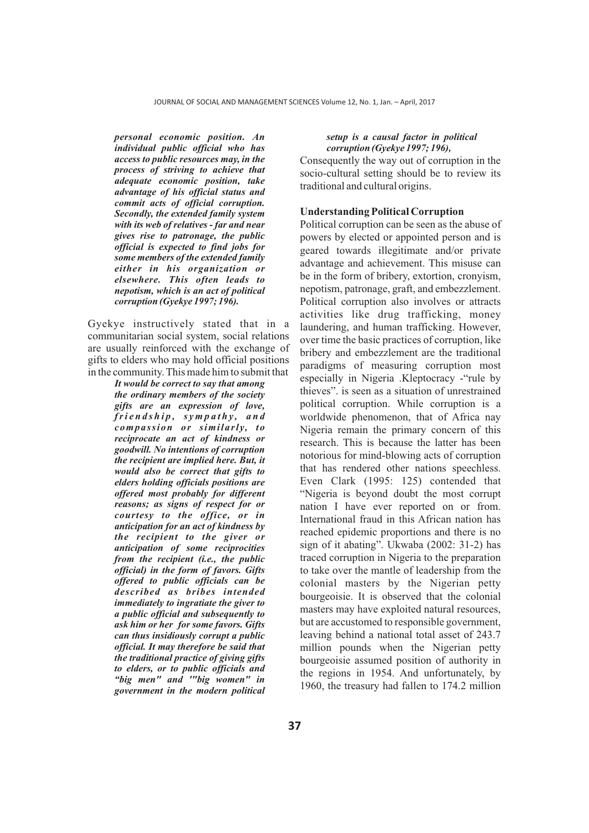*personal economic position. An individual public official who has access to public resources may, in the process of striving to achieve that adequate economic position, take advantage of his official status and commit acts of official corruption. Secondly, the extended family system with its web of relatives - far and near gives rise to patronage, the public official is expected to find jobs for some members of the extended family either in his organization or elsewhere. This often leads to nepotism, which is an act of political corruption (Gyekye 1997; 196).*

Gyekye instructively stated that in a communitarian social system, social relations are usually reinforced with the exchange of gifts to elders who may hold official positions in the community. This made him to submit that

> *It would be correct to say that among the ordinary members of the society gifts are an expression of love,*   $f$ r i e n d s h i p, sympathy, and *compassion or similarly, to reciprocate an act of kindness or goodwill. No intentions of corruption the recipient are implied here. But, it would also be correct that gifts to elders holding officials positions are offered most probably for different reasons; as signs of respect for or courtesy to the office, or in anticipation for an act of kindness by the recipient to the giver or anticipation of some reciprocities from the recipient (i.e., the public official) in the form of favors. Gifts offered to public officials can be described as bribes intended immediately to ingratiate the giver to a public official and subsequently to ask him or her for some favors. Gifts can thus insidiously corrupt a public official. It may therefore be said that the traditional practice of giving gifts to elders, or to public officials and "big men" and '"big women" in government in the modern political*

### *setup is a causal factor in political corruption (Gyekye 1997; 196),*

Consequently the way out of corruption in the socio-cultural setting should be to review its traditional and cultural origins.

# **Understanding Political Corruption**

Political corruption can be seen as the abuse of powers by elected or appointed person and is geared towards illegitimate and/or private advantage and achievement. This misuse can be in the form of bribery, extortion, cronyism, nepotism, patronage, graft, and embezzlement. Political corruption also involves or attracts activities like drug trafficking, money laundering, and human trafficking. However, over time the basic practices of corruption, like bribery and embezzlement are the traditional paradigms of measuring corruption most especially in Nigeria .Kleptocracy -"rule by thieves". is seen as a situation of unrestrained political corruption. While corruption is a worldwide phenomenon, that of Africa nay Nigeria remain the primary concern of this research. This is because the latter has been notorious for mind-blowing acts of corruption that has rendered other nations speechless. Even Clark (1995: 125) contended that "Nigeria is beyond doubt the most corrupt nation I have ever reported on or from. International fraud in this African nation has reached epidemic proportions and there is no sign of it abating". Ukwaba (2002: 31-2) has traced corruption in Nigeria to the preparation to take over the mantle of leadership from the colonial masters by the Nigerian petty bourgeoisie. It is observed that the colonial masters may have exploited natural resources, but are accustomed to responsible government, leaving behind a national total asset of 243.7 million pounds when the Nigerian petty bourgeoisie assumed position of authority in the regions in 1954. And unfortunately, by 1960, the treasury had fallen to 174.2 million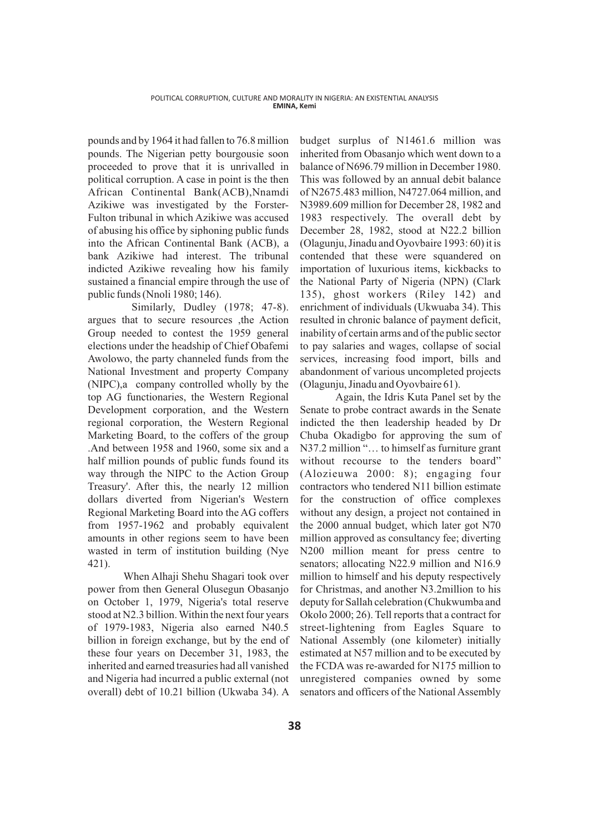pounds and by 1964 it had fallen to 76.8 million pounds. The Nigerian petty bourgousie soon proceeded to prove that it is unrivalled in political corruption. A case in point is the then African Continental Bank(ACB),Nnamdi Azikiwe was investigated by the Forster-Fulton tribunal in which Azikiwe was accused of abusing his office by siphoning public funds into the African Continental Bank (ACB), a bank Azikiwe had interest. The tribunal indicted Azikiwe revealing how his family sustained a financial empire through the use of public funds (Nnoli 1980; 146).

Similarly, Dudley (1978; 47-8). argues that to secure resources ,the Action Group needed to contest the 1959 general elections under the headship of Chief Obafemi Awolowo, the party channeled funds from the National Investment and property Company (NIPC),a company controlled wholly by the top AG functionaries, the Western Regional Development corporation, and the Western regional corporation, the Western Regional Marketing Board, to the coffers of the group .And between 1958 and 1960, some six and a half million pounds of public funds found its way through the NIPC to the Action Group Treasury'. After this, the nearly 12 million dollars diverted from Nigerian's Western Regional Marketing Board into the AG coffers from 1957-1962 and probably equivalent amounts in other regions seem to have been wasted in term of institution building (Nye 421).

When Alhaji Shehu Shagari took over power from then General Olusegun Obasanjo on October 1, 1979, Nigeria's total reserve stood at N2.3 billion. Within the next four years of 1979-1983, Nigeria also earned N40.5 billion in foreign exchange, but by the end of these four years on December 31, 1983, the inherited and earned treasuries had all vanished and Nigeria had incurred a public external (not overall) debt of 10.21 billion (Ukwaba 34). A

budget surplus of N1461.6 million was inherited from Obasanjo which went down to a balance of N696.79 million in December 1980. This was followed by an annual debit balance of N2675.483 million, N4727.064 million, and N3989.609 million for December 28, 1982 and 1983 respectively. The overall debt by December 28, 1982, stood at N22.2 billion (Olagunju, Jinadu and Oyovbaire 1993: 60) it is contended that these were squandered on importation of luxurious items, kickbacks to the National Party of Nigeria (NPN) (Clark 135), ghost workers (Riley 142) and enrichment of individuals (Ukwuaba 34). This resulted in chronic balance of payment deficit, inability of certain arms and of the public sector to pay salaries and wages, collapse of social services, increasing food import, bills and abandonment of various uncompleted projects (Olagunju, Jinadu and Oyovbaire 61).

Again, the Idris Kuta Panel set by the Senate to probe contract awards in the Senate indicted the then leadership headed by Dr Chuba Okadigbo for approving the sum of N37.2 million "… to himself as furniture grant without recourse to the tenders board" (Alozieuwa 2000: 8); engaging four contractors who tendered N11 billion estimate for the construction of office complexes without any design, a project not contained in the 2000 annual budget, which later got N70 million approved as consultancy fee; diverting N200 million meant for press centre to senators; allocating N22.9 million and N16.9 million to himself and his deputy respectively for Christmas, and another N3.2million to his deputy for Sallah celebration (Chukwumba and Okolo 2000; 26). Tell reports that a contract for street-lightening from Eagles Square to National Assembly (one kilometer) initially estimated at N57 million and to be executed by the FCDA was re-awarded for N175 million to unregistered companies owned by some senators and officers of the National Assembly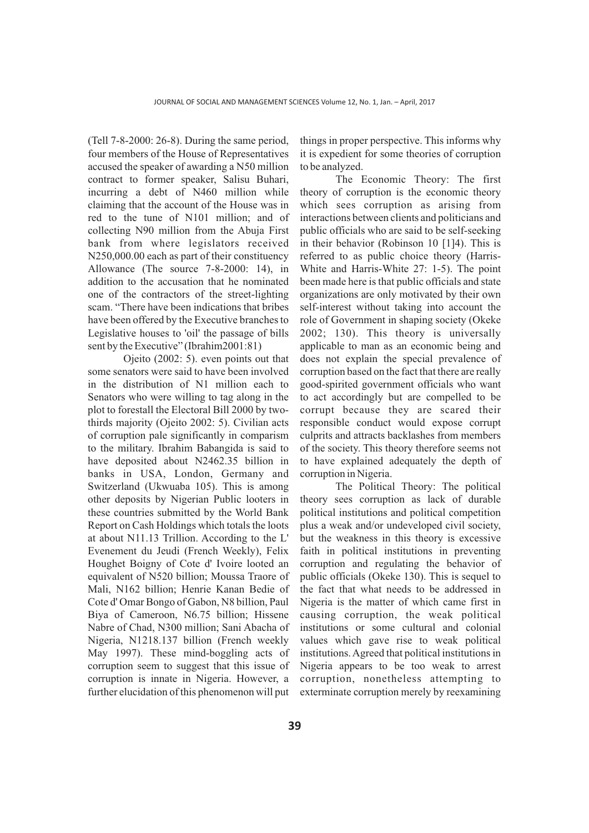(Tell 7-8-2000: 26-8). During the same period, four members of the House of Representatives accused the speaker of awarding a N50 million contract to former speaker, Salisu Buhari, incurring a debt of N460 million while claiming that the account of the House was in red to the tune of N101 million; and of collecting N90 million from the Abuja First bank from where legislators received N250,000.00 each as part of their constituency Allowance (The source 7-8-2000: 14), in addition to the accusation that he nominated one of the contractors of the street-lighting scam. "There have been indications that bribes have been offered by the Executive branches to Legislative houses to 'oil' the passage of bills sent by the Executive" (Ibrahim2001:81)

Ojeito (2002: 5). even points out that some senators were said to have been involved in the distribution of N1 million each to Senators who were willing to tag along in the plot to forestall the Electoral Bill 2000 by twothirds majority (Ojeito 2002: 5). Civilian acts of corruption pale significantly in comparism to the military. Ibrahim Babangida is said to have deposited about N2462.35 billion in banks in USA, London, Germany and Switzerland (Ukwuaba 105). This is among other deposits by Nigerian Public looters in these countries submitted by the World Bank Report on Cash Holdings which totals the loots at about N11.13 Trillion. According to the L' Evenement du Jeudi (French Weekly), Felix Houghet Boigny of Cote d' Ivoire looted an equivalent of N520 billion; Moussa Traore of Mali, N162 billion; Henrie Kanan Bedie of Cote d' Omar Bongo of Gabon, N8 billion, Paul Biya of Cameroon, N6.75 billion; Hissene Nabre of Chad, N300 million; Sani Abacha of Nigeria, N1218.137 billion (French weekly May 1997). These mind-boggling acts of corruption seem to suggest that this issue of corruption is innate in Nigeria. However, a further elucidation of this phenomenon will put

things in proper perspective. This informs why it is expedient for some theories of corruption to be analyzed.

The Economic Theory: The first theory of corruption is the economic theory which sees corruption as arising from interactions between clients and politicians and public officials who are said to be self-seeking in their behavior (Robinson 10 [1]4). This is referred to as public choice theory (Harris-White and Harris-White 27: 1-5). The point been made here is that public officials and state organizations are only motivated by their own self-interest without taking into account the role of Government in shaping society (Okeke 2002; 130). This theory is universally applicable to man as an economic being and does not explain the special prevalence of corruption based on the fact that there are really good-spirited government officials who want to act accordingly but are compelled to be corrupt because they are scared their responsible conduct would expose corrupt culprits and attracts backlashes from members of the society. This theory therefore seems not to have explained adequately the depth of corruption in Nigeria.

The Political Theory: The political theory sees corruption as lack of durable political institutions and political competition plus a weak and/or undeveloped civil society, but the weakness in this theory is excessive faith in political institutions in preventing corruption and regulating the behavior of public officials (Okeke 130). This is sequel to the fact that what needs to be addressed in Nigeria is the matter of which came first in causing corruption, the weak political institutions or some cultural and colonial values which gave rise to weak political institutions. Agreed that political institutions in Nigeria appears to be too weak to arrest corruption, nonetheless attempting to exterminate corruption merely by reexamining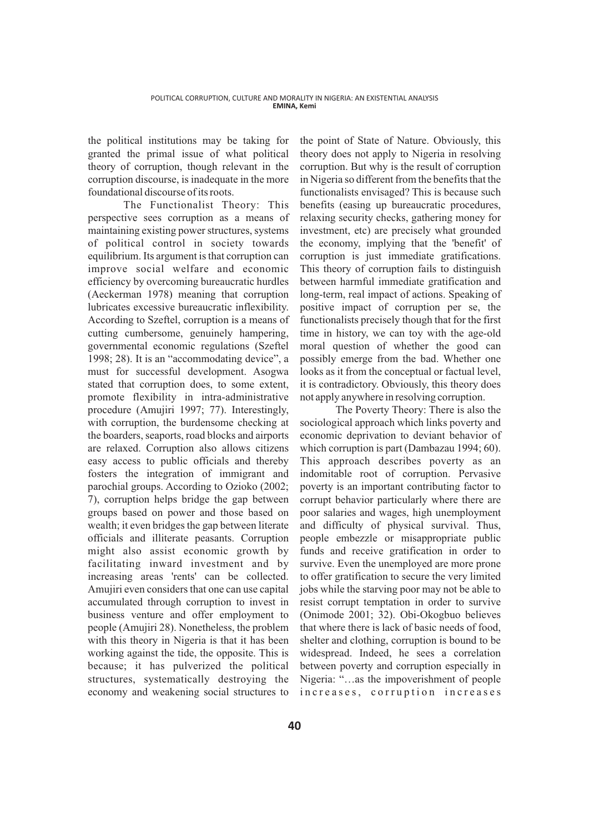the political institutions may be taking for granted the primal issue of what political theory of corruption, though relevant in the corruption discourse, is inadequate in the more foundational discourse of its roots.

The Functionalist Theory: This perspective sees corruption as a means of maintaining existing power structures, systems of political control in society towards equilibrium. Its argument is that corruption can improve social welfare and economic efficiency by overcoming bureaucratic hurdles (Aeckerman 1978) meaning that corruption lubricates excessive bureaucratic inflexibility. According to Szeftel, corruption is a means of cutting cumbersome, genuinely hampering, governmental economic regulations (Szeftel 1998; 28). It is an "accommodating device", a must for successful development. Asogwa stated that corruption does, to some extent, promote flexibility in intra-administrative procedure (Amujiri 1997; 77). Interestingly, with corruption, the burdensome checking at the boarders, seaports, road blocks and airports are relaxed. Corruption also allows citizens easy access to public officials and thereby fosters the integration of immigrant and parochial groups. According to Ozioko (2002; 7), corruption helps bridge the gap between groups based on power and those based on wealth; it even bridges the gap between literate officials and illiterate peasants. Corruption might also assist economic growth by facilitating inward investment and by increasing areas 'rents' can be collected. Amujiri even considers that one can use capital accumulated through corruption to invest in business venture and offer employment to people (Amujiri 28). Nonetheless, the problem with this theory in Nigeria is that it has been working against the tide, the opposite. This is because; it has pulverized the political structures, systematically destroying the economy and weakening social structures to

the point of State of Nature. Obviously, this theory does not apply to Nigeria in resolving corruption. But why is the result of corruption in Nigeria so different from the benefits that the functionalists envisaged? This is because such benefits (easing up bureaucratic procedures, relaxing security checks, gathering money for investment, etc) are precisely what grounded the economy, implying that the 'benefit' of corruption is just immediate gratifications. This theory of corruption fails to distinguish between harmful immediate gratification and long-term, real impact of actions. Speaking of positive impact of corruption per se, the functionalists precisely though that for the first time in history, we can toy with the age-old moral question of whether the good can possibly emerge from the bad. Whether one looks as it from the conceptual or factual level, it is contradictory. Obviously, this theory does not apply anywhere in resolving corruption.

The Poverty Theory: There is also the sociological approach which links poverty and economic deprivation to deviant behavior of which corruption is part (Dambazau 1994; 60). This approach describes poverty as an indomitable root of corruption. Pervasive poverty is an important contributing factor to corrupt behavior particularly where there are poor salaries and wages, high unemployment and difficulty of physical survival. Thus, people embezzle or misappropriate public funds and receive gratification in order to survive. Even the unemployed are more prone to offer gratification to secure the very limited jobs while the starving poor may not be able to resist corrupt temptation in order to survive (Onimode 2001; 32). Obi-Okogbuo believes that where there is lack of basic needs of food, shelter and clothing, corruption is bound to be widespread. Indeed, he sees a correlation between poverty and corruption especially in Nigeria: "…as the impoverishment of people increases, corruption increases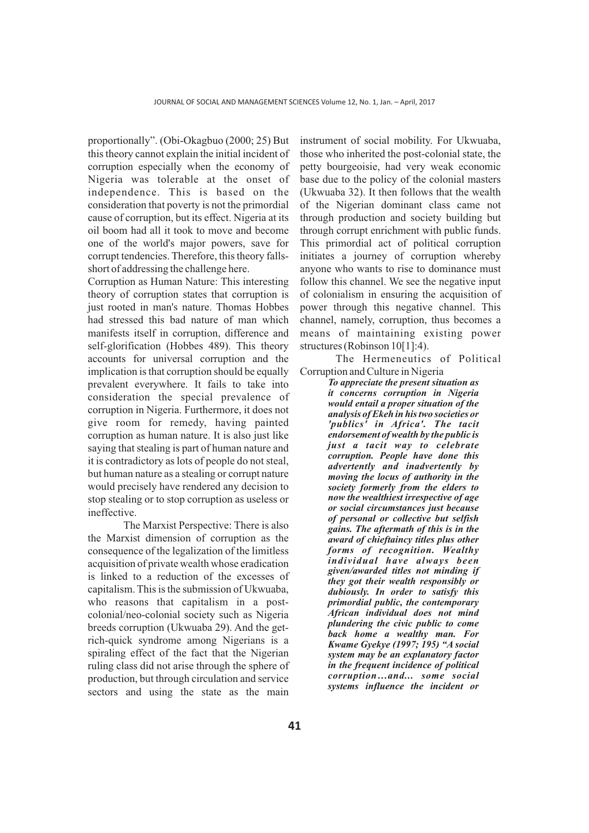proportionally". (Obi-Okagbuo (2000; 25) But this theory cannot explain the initial incident of corruption especially when the economy of Nigeria was tolerable at the onset of independence. This is based on the consideration that poverty is not the primordial cause of corruption, but its effect. Nigeria at its oil boom had all it took to move and become one of the world's major powers, save for corrupt tendencies. Therefore, this theory fallsshort of addressing the challenge here.

Corruption as Human Nature: This interesting theory of corruption states that corruption is just rooted in man's nature. Thomas Hobbes had stressed this bad nature of man which manifests itself in corruption, difference and self-glorification (Hobbes 489). This theory accounts for universal corruption and the implication is that corruption should be equally prevalent everywhere. It fails to take into consideration the special prevalence of corruption in Nigeria. Furthermore, it does not give room for remedy, having painted corruption as human nature. It is also just like saying that stealing is part of human nature and it is contradictory as lots of people do not steal, but human nature as a stealing or corrupt nature would precisely have rendered any decision to stop stealing or to stop corruption as useless or ineffective.

The Marxist Perspective: There is also the Marxist dimension of corruption as the consequence of the legalization of the limitless acquisition of private wealth whose eradication is linked to a reduction of the excesses of capitalism. This is the submission of Ukwuaba, who reasons that capitalism in a postcolonial/neo-colonial society such as Nigeria breeds corruption (Ukwuaba 29). And the getrich-quick syndrome among Nigerians is a spiraling effect of the fact that the Nigerian ruling class did not arise through the sphere of production, but through circulation and service sectors and using the state as the main

instrument of social mobility. For Ukwuaba, those who inherited the post-colonial state, the petty bourgeoisie, had very weak economic base due to the policy of the colonial masters (Ukwuaba 32). It then follows that the wealth of the Nigerian dominant class came not through production and society building but through corrupt enrichment with public funds. This primordial act of political corruption initiates a journey of corruption whereby anyone who wants to rise to dominance must follow this channel. We see the negative input of colonialism in ensuring the acquisition of power through this negative channel. This channel, namely, corruption, thus becomes a means of maintaining existing power structures (Robinson 10[1]:4).

The Hermeneutics of Political Corruption and Culture in Nigeria

> *To appreciate the present situation as it concerns corruption in Nigeria would entail a proper situation of the analysis of Ekeh in his two societies or 'publics' in Africa'. The tacit endorsement of wealth by the public is just a tacit way to celebrate corruption. People have done this advertently and inadvertently by moving the locus of authority in the society formerly from the elders to now the wealthiest irrespective of age or social circumstances just because of personal or collective but selfish gains. The aftermath of this is in the award of chieftaincy titles plus other forms of recognition. Wealthy individual have always been given/awarded titles not minding if they got their wealth responsibly or dubiously. In order to satisfy this primordial public, the contemporary African individual does not mind plundering the civic public to come back home a wealthy man. For Kwame Gyekye (1997; 195) "A social system may be an explanatory factor in the frequent incidence of political corruption…and... some social systems influence the incident or*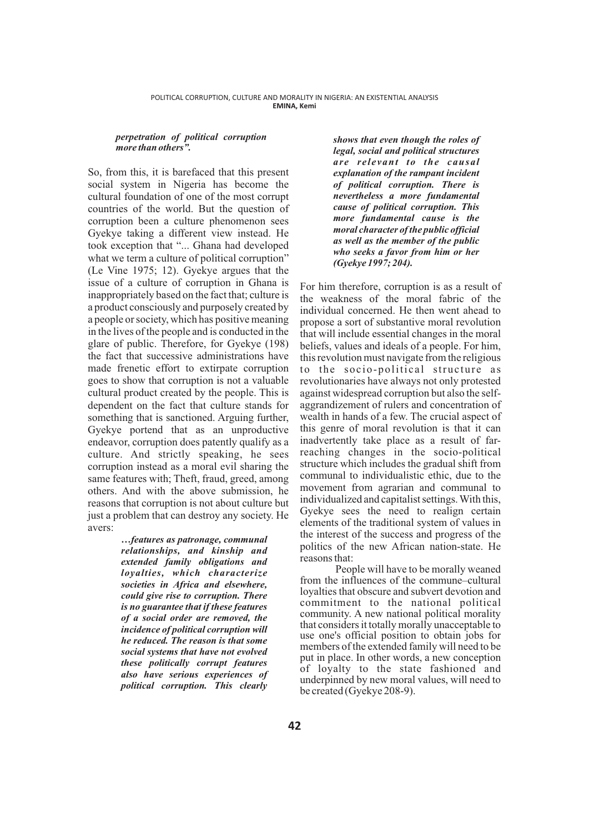#### *perpetration of political corruption more than others".*

So, from this, it is barefaced that this present social system in Nigeria has become the cultural foundation of one of the most corrupt countries of the world. But the question of corruption been a culture phenomenon sees Gyekye taking a different view instead. He took exception that "... Ghana had developed what we term a culture of political corruption" (Le Vine 1975; 12). Gyekye argues that the issue of a culture of corruption in Ghana is inappropriately based on the fact that; culture is a product consciously and purposely created by a people or society, which has positive meaning in the lives of the people and is conducted in the glare of public. Therefore, for Gyekye (198) the fact that successive administrations have made frenetic effort to extirpate corruption goes to show that corruption is not a valuable cultural product created by the people. This is dependent on the fact that culture stands for something that is sanctioned. Arguing further, Gyekye portend that as an unproductive endeavor, corruption does patently qualify as a culture. And strictly speaking, he sees corruption instead as a moral evil sharing the same features with; Theft, fraud, greed, among others. And with the above submission, he reasons that corruption is not about culture but just a problem that can destroy any society. He avers:

*…features as patronage, communal relationships, and kinship and extended family obligations and loyalties, which characterize societies in Africa and elsewhere, could give rise to corruption. There is no guarantee that if these features of a social order are removed, the incidence of political corruption will he reduced. The reason is that some social systems that have not evolved these politically corrupt features also have serious experiences of political corruption. This clearly* 

*shows that even though the roles of legal, social and political structures are relevant to the causal explanation of the rampant incident of political corruption. There is nevertheless a more fundamental cause of political corruption. This more fundamental cause is the moral character of the public official as well as the member of the public who seeks a favor from him or her (Gyekye 1997; 204).* 

For him therefore, corruption is as a result of the weakness of the moral fabric of the individual concerned. He then went ahead to propose a sort of substantive moral revolution that will include essential changes in the moral beliefs, values and ideals of a people. For him, this revolution must navigate from the religious to the socio-political structure as revolutionaries have always not only protested against widespread corruption but also the selfaggrandizement of rulers and concentration of wealth in hands of a few. The crucial aspect of this genre of moral revolution is that it can inadvertently take place as a result of farreaching changes in the socio-political structure which includes the gradual shift from communal to individualistic ethic, due to the movement from agrarian and communal to individualized and capitalist settings. With this, Gyekye sees the need to realign certain elements of the traditional system of values in the interest of the success and progress of the politics of the new African nation-state. He reasons that:

People will have to be morally weaned from the influences of the commune–cultural loyalties that obscure and subvert devotion and commitment to the national political community. A new national political morality that considers it totally morally unacceptable to use one's official position to obtain jobs for members of the extended family will need to be put in place. In other words, a new conception of loyalty to the state fashioned and underpinned by new moral values, will need to be created (Gyekye 208-9).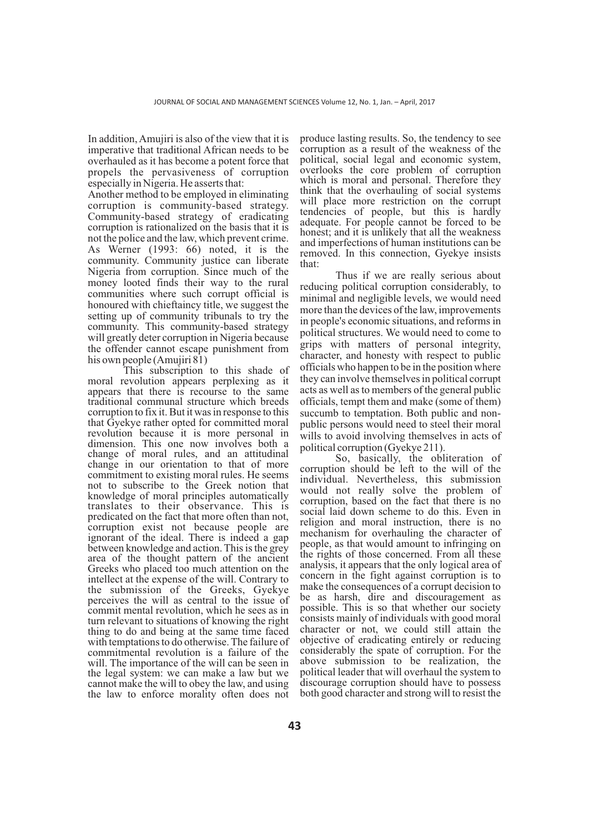In addition, Amujiri is also of the view that it is imperative that traditional African needs to be overhauled as it has become a potent force that propels the pervasiveness of corruption especially in Nigeria. He asserts that:

Another method to be employed in eliminating corruption is community-based strategy. Community-based strategy of eradicating corruption is rationalized on the basis that it is not the police and the law, which prevent crime. As Werner (1993: 66) noted, it is the community. Community justice can liberate Nigeria from corruption. Since much of the money looted finds their way to the rural communities where such corrupt official is honoured with chieftaincy title, we suggest the setting up of community tribunals to try the community. This community-based strategy will greatly deter corruption in Nigeria because the offender cannot escape punishment from his own people (Amujiri 81)

This subscription to this shade of moral revolution appears perplexing as it appears that there is recourse to the same traditional communal structure which breeds corruption to fix it. But it was in response to this that Gyekye rather opted for committed moral revolution because it is more personal in dimension. This one now involves both a change of moral rules, and an attitudinal change in our orientation to that of more commitment to existing moral rules. He seems not to subscribe to the Greek notion that knowledge of moral principles automatically translates to their observance. This is predicated on the fact that more often than not, corruption exist not because people are ignorant of the ideal. There is indeed a gap between knowledge and action. This is the grey area of the thought pattern of the ancient Greeks who placed too much attention on the intellect at the expense of the will. Contrary to the submission of the Greeks, Gyekye perceives the will as central to the issue of commit mental revolution, which he sees as in turn relevant to situations of knowing the right thing to do and being at the same time faced with temptations to do otherwise. The failure of commitmental revolution is a failure of the will. The importance of the will can be seen in the legal system: we can make a law but we cannot make the will to obey the law, and using the law to enforce morality often does not

produce lasting results. So, the tendency to see corruption as a result of the weakness of the political, social legal and economic system, overlooks the core problem of corruption which is moral and personal. Therefore they think that the overhauling of social systems will place more restriction on the corrupt tendencies of people, but this is hardly adequate. For people cannot be forced to be honest; and it is unlikely that all the weakness and imperfections of human institutions can be removed. In this connection, Gyekye insists that:

Thus if we are really serious about reducing political corruption considerably, to minimal and negligible levels, we would need more than the devices of the law, improvements in people's economic situations, and reforms in political structures. We would need to come to grips with matters of personal integrity, character, and honesty with respect to public officials who happen to be in the position where they can involve themselves in political corrupt acts as well as to members of the general public officials, tempt them and make (some of them) succumb to temptation. Both public and nonpublic persons would need to steel their moral wills to avoid involving themselves in acts of political corruption (Gyekye 211).

So, basically, the obliteration of corruption should be left to the will of the individual. Nevertheless, this submission would not really solve the problem of corruption, based on the fact that there is no social laid down scheme to do this. Even in religion and moral instruction, there is no mechanism for overhauling the character of people, as that would amount to infringing on the rights of those concerned. From all these analysis, it appears that the only logical area of concern in the fight against corruption is to make the consequences of a corrupt decision to be as harsh, dire and discouragement as possible. This is so that whether our society consists mainly of individuals with good moral character or not, we could still attain the objective of eradicating entirely or reducing considerably the spate of corruption. For the above submission to be realization, the political leader that will overhaul the system to discourage corruption should have to possess both good character and strong will to resist the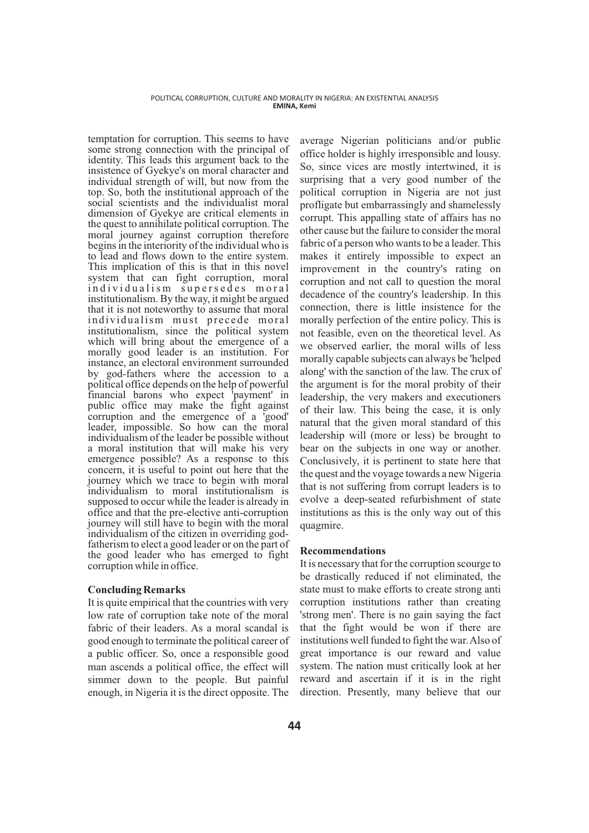temptation for corruption. This seems to have some strong connection with the principal of identity. This leads this argument back to the insistence of Gyekye's on moral character and individual strength of will, but now from the top. So, both the institutional approach of the social scientists and the individualist moral dimension of Gyekye are critical elements in the quest to annihilate political corruption. The moral journey against corruption therefore begins in the interiority of the individual who is to lead and flows down to the entire system. This implication of this is that in this novel system that can fight corruption, moral individualism supersedes moral institutionalism. By the way, it might be argued that it is not noteworthy to assume that moral individualism must precede moral institutionalism, since the political system which will bring about the emergence of a morally good leader is an institution. For instance, an electoral environment surrounded by god-fathers where the accession to a political office depends on the help of powerful financial barons who expect 'payment' in public office may make the fight against corruption and the emergence of a 'good' leader, impossible. So how can the moral individualism of the leader be possible without a moral institution that will make his very emergence possible? As a response to this concern, it is useful to point out here that the journey which we trace to begin with moral individualism to moral institutionalism is supposed to occur while the leader is already in office and that the pre-elective anti-corruption journey will still have to begin with the moral individualism of the citizen in overriding godfatherism to elect a good leader or on the part of the good leader who has emerged to fight corruption while in office.

# **Concluding Remarks**

It is quite empirical that the countries with very low rate of corruption take note of the moral fabric of their leaders. As a moral scandal is good enough to terminate the political career of a public officer. So, once a responsible good man ascends a political office, the effect will simmer down to the people. But painful enough, in Nigeria it is the direct opposite. The

average Nigerian politicians and/or public office holder is highly irresponsible and lousy. So, since vices are mostly intertwined, it is surprising that a very good number of the political corruption in Nigeria are not just profligate but embarrassingly and shamelessly corrupt. This appalling state of affairs has no other cause but the failure to consider the moral fabric of a person who wants to be a leader. This makes it entirely impossible to expect an improvement in the country's rating on corruption and not call to question the moral decadence of the country's leadership. In this connection, there is little insistence for the morally perfection of the entire policy. This is not feasible, even on the theoretical level. As we observed earlier, the moral wills of less morally capable subjects can always be 'helped along' with the sanction of the law. The crux of the argument is for the moral probity of their leadership, the very makers and executioners of their law. This being the case, it is only natural that the given moral standard of this leadership will (more or less) be brought to bear on the subjects in one way or another. Conclusively, it is pertinent to state here that the quest and the voyage towards a new Nigeria that is not suffering from corrupt leaders is to evolve a deep-seated refurbishment of state institutions as this is the only way out of this quagmire.

# **Recommendations**

It is necessary that for the corruption scourge to be drastically reduced if not eliminated, the state must to make efforts to create strong anti corruption institutions rather than creating 'strong men'. There is no gain saying the fact that the fight would be won if there are institutions well funded to fight the war. Also of great importance is our reward and value system. The nation must critically look at her reward and ascertain if it is in the right direction. Presently, many believe that our